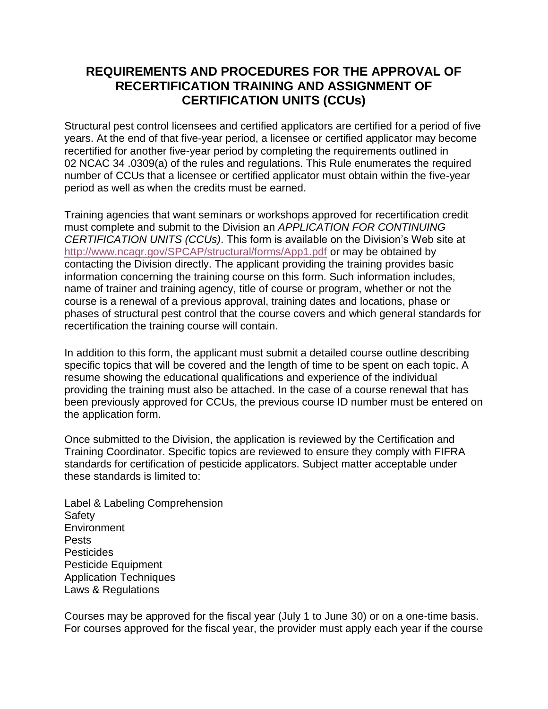## **REQUIREMENTS AND PROCEDURES FOR THE APPROVAL OF RECERTIFICATION TRAINING AND ASSIGNMENT OF CERTIFICATION UNITS (CCUs)**

Structural pest control licensees and certified applicators are certified for a period of five years. At the end of that five-year period, a licensee or certified applicator may become recertified for another five-year period by completing the requirements outlined in 02 NCAC 34 .0309(a) of the rules and regulations. This Rule enumerates the required number of CCUs that a licensee or certified applicator must obtain within the five-year period as well as when the credits must be earned.

Training agencies that want seminars or workshops approved for recertification credit must complete and submit to the Division an *APPLICATION FOR CONTINUING CERTIFICATION UNITS (CCUs)*. This form is available on the Division's Web site at <http://www.ncagr.gov/SPCAP/structural/forms/App1.pdf> or may be obtained by contacting the Division directly. The applicant providing the training provides basic information concerning the training course on this form. Such information includes, name of trainer and training agency, title of course or program, whether or not the course is a renewal of a previous approval, training dates and locations, phase or phases of structural pest control that the course covers and which general standards for recertification the training course will contain.

In addition to this form, the applicant must submit a detailed course outline describing specific topics that will be covered and the length of time to be spent on each topic. A resume showing the educational qualifications and experience of the individual providing the training must also be attached. In the case of a course renewal that has been previously approved for CCUs, the previous course ID number must be entered on the application form.

Once submitted to the Division, the application is reviewed by the Certification and Training Coordinator. Specific topics are reviewed to ensure they comply with FIFRA standards for certification of pesticide applicators. Subject matter acceptable under these standards is limited to:

Label & Labeling Comprehension **Safety Environment** Pests **Pesticides** Pesticide Equipment Application Techniques Laws & Regulations

Courses may be approved for the fiscal year (July 1 to June 30) or on a one-time basis. For courses approved for the fiscal year, the provider must apply each year if the course